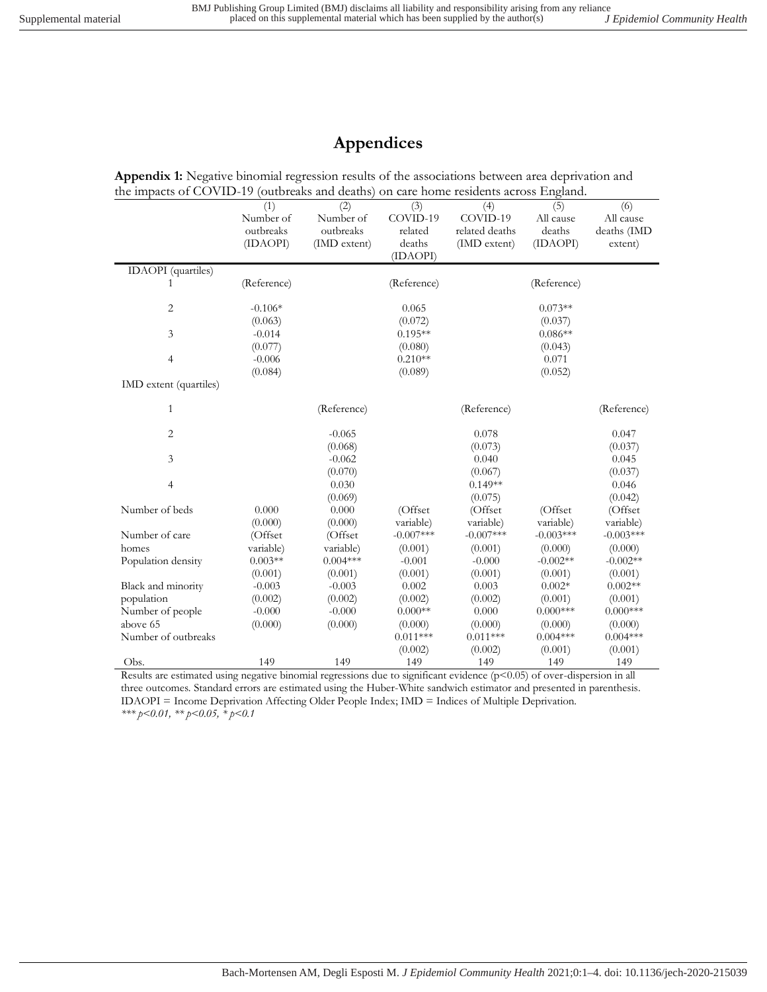## **Appendices**

**Appendix 1:** Negative binomial regression results of the associations between area deprivation and the impacts of COVID-19 (outbreaks and deaths) on care home residents across England.

|                           | (1)         | (2)          | (3)         | (4)            | (5)         | (6)         |
|---------------------------|-------------|--------------|-------------|----------------|-------------|-------------|
|                           | Number of   | Number of    | COVID-19    | COVID-19       | All cause   | All cause   |
|                           | outbreaks   | outbreaks    | related     | related deaths | deaths      | deaths (IMD |
|                           | (IDAOPI)    | (IMD extent) | deaths      | (IMD extent)   | (IDAOPI)    | extent)     |
|                           |             |              | (IDAOPI)    |                |             |             |
| <b>IDAOPI</b> (quartiles) |             |              |             |                |             |             |
| 1                         | (Reference) |              | (Reference) |                | (Reference) |             |
|                           |             |              |             |                |             |             |
| 2                         | $-0.106*$   |              | 0.065       |                | $0.073**$   |             |
|                           | (0.063)     |              | (0.072)     |                | (0.037)     |             |
| 3                         | $-0.014$    |              | $0.195**$   |                | $0.086**$   |             |
|                           | (0.077)     |              | (0.080)     |                | (0.043)     |             |
| $\overline{4}$            | $-0.006$    |              | $0.210**$   |                | 0.071       |             |
|                           | (0.084)     |              | (0.089)     |                | (0.052)     |             |
| IMD extent (quartiles)    |             |              |             |                |             |             |
|                           |             |              |             |                |             |             |
| 1                         |             | (Reference)  |             | (Reference)    |             | (Reference) |
| $\overline{c}$            |             | $-0.065$     |             | 0.078          |             | 0.047       |
|                           |             | (0.068)      |             | (0.073)        |             | (0.037)     |
| 3                         |             | $-0.062$     |             | 0.040          |             | 0.045       |
|                           |             | (0.070)      |             | (0.067)        |             | (0.037)     |
| $\overline{4}$            |             | 0.030        |             | $0.149**$      |             | 0.046       |
|                           |             | (0.069)      |             | (0.075)        |             | (0.042)     |
| Number of beds            | 0.000       | 0.000        | (Offset)    | (Offset        | (Offset)    | (Offset     |
|                           | (0.000)     | (0.000)      | variable)   | variable)      | variable)   | variable)   |
| Number of care            | (Offset     | (Offset      | $-0.007***$ | $-0.007***$    | $-0.003***$ | $-0.003***$ |
| homes                     | variable)   | variable)    | (0.001)     | (0.001)        | (0.000)     | (0.000)     |
| Population density        | $0.003**$   | $0.004***$   | $-0.001$    | $-0.000$       | $-0.002**$  | $-0.002**$  |
|                           | (0.001)     | (0.001)      | (0.001)     | (0.001)        | (0.001)     | (0.001)     |
| Black and minority        | $-0.003$    | $-0.003$     | 0.002       | 0.003          | $0.002*$    | $0.002**$   |
| population                | (0.002)     | (0.002)      | (0.002)     | (0.002)        | (0.001)     | (0.001)     |
| Number of people          | $-0.000$    | $-0.000$     | $0.000**$   | 0.000          | $0.000$ *** | $0.000$ *** |
| above 65                  | (0.000)     | (0.000)      | (0.000)     | (0.000)        | (0.000)     | (0.000)     |
| Number of outbreaks       |             |              | $0.011***$  | $0.011***$     | $0.004***$  | $0.004***$  |
|                           |             |              | (0.002)     | (0.002)        | (0.001)     | (0.001)     |
| Obs.                      | 149         | 149          | 149         | 149            | 149         | 149         |
|                           |             |              |             |                |             |             |

Results are estimated using negative binomial regressions due to significant evidence (p<0.05) of over-dispersion in all three outcomes. Standard errors are estimated using the Huber-White sandwich estimator and presented in parenthesis. IDAOPI = Income Deprivation Affecting Older People Index; IMD = Indices of Multiple Deprivation. *\*\*\* p<0.01, \*\* p<0.05, \* p<0.1*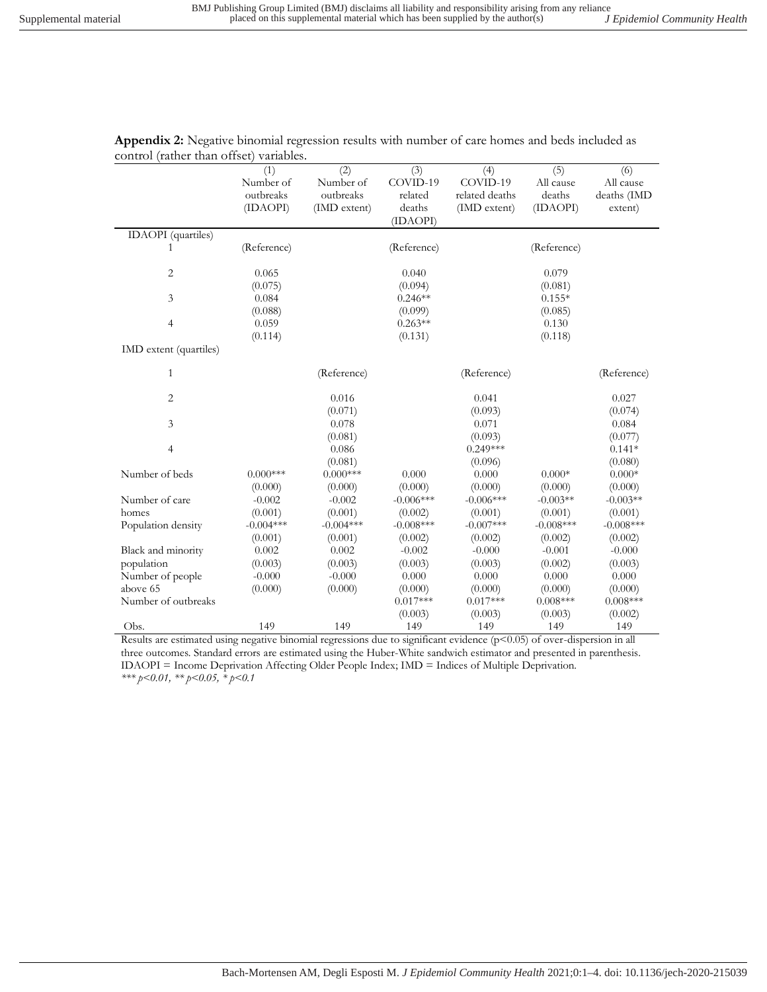|                           | (1)         | (2)          | (3)         | (4)            | (5)         | (6)         |
|---------------------------|-------------|--------------|-------------|----------------|-------------|-------------|
|                           | Number of   | Number of    | COVID-19    | COVID-19       | All cause   | All cause   |
|                           | outbreaks   | outbreaks    | related     | related deaths | deaths      | deaths (IMD |
|                           | (IDAOPI)    | (IMD extent) | deaths      | (IMD extent)   | (IDAOPI)    | extent)     |
|                           |             |              | (IDAOPI)    |                |             |             |
| <b>IDAOPI</b> (quartiles) |             |              |             |                |             |             |
| 1                         | (Reference) |              | (Reference) |                | (Reference) |             |
|                           |             |              |             |                |             |             |
| $\overline{2}$            | 0.065       |              | 0.040       |                | 0.079       |             |
|                           | (0.075)     |              | (0.094)     |                | (0.081)     |             |
| 3                         | 0.084       |              | $0.246**$   |                | $0.155*$    |             |
|                           | (0.088)     |              | (0.099)     |                | (0.085)     |             |
| 4                         | 0.059       |              | $0.263**$   |                | 0.130       |             |
|                           | (0.114)     |              | (0.131)     |                | (0.118)     |             |
| IMD extent (quartiles)    |             |              |             |                |             |             |
| $\mathbf{1}$              |             | (Reference)  |             | (Reference)    |             | (Reference) |
| $\overline{2}$            |             | 0.016        |             | 0.041          |             | 0.027       |
|                           |             | (0.071)      |             | (0.093)        |             | (0.074)     |
| 3                         |             | 0.078        |             | 0.071          |             | 0.084       |
|                           |             | (0.081)      |             | (0.093)        |             | (0.077)     |
| 4                         |             | 0.086        |             | $0.249***$     |             | $0.141*$    |
|                           |             | (0.081)      |             | (0.096)        |             | (0.080)     |
| Number of beds            | $0.000***$  | $0.000***$   | 0.000       | 0.000          | $0.000*$    | $0.000*$    |
|                           | (0.000)     | (0.000)      | (0.000)     | (0.000)        | (0.000)     | (0.000)     |
| Number of care            | $-0.002$    | $-0.002$     | $-0.006***$ | $-0.006***$    | $-0.003**$  | $-0.003**$  |
| homes                     | (0.001)     | (0.001)      | (0.002)     | (0.001)        | (0.001)     | (0.001)     |
| Population density        | $-0.004***$ | $-0.004***$  | $-0.008***$ | $-0.007***$    | $-0.008***$ | $-0.008***$ |
|                           | (0.001)     | (0.001)      | (0.002)     | (0.002)        | (0.002)     | (0.002)     |
| Black and minority        | 0.002       | 0.002        | $-0.002$    | $-0.000$       | $-0.001$    | $-0.000$    |
| population                | (0.003)     | (0.003)      | (0.003)     | (0.003)        | (0.002)     | (0.003)     |
| Number of people          | $-0.000$    | $-0.000$     | 0.000       | 0.000          | 0.000       | 0.000       |
| above 65                  | (0.000)     | (0.000)      | (0.000)     | (0.000)        | (0.000)     | (0.000)     |
| Number of outbreaks       |             |              | $0.017***$  | $0.017***$     | $0.008***$  | $0.008***$  |
|                           |             |              | (0.003)     | (0.003)        | (0.003)     | (0.002)     |
| Obs.                      | 149         | 149          | 149         | 149            | 149         | 149         |

**Appendix 2:** Negative binomial regression results with number of care homes and beds included as control (rather than offset) variables.

Results are estimated using negative binomial regressions due to significant evidence (p<0.05) of over-dispersion in all three outcomes. Standard errors are estimated using the Huber-White sandwich estimator and presented in parenthesis. IDAOPI = Income Deprivation Affecting Older People Index; IMD = Indices of Multiple Deprivation. *\*\*\* p<0.01, \*\* p<0.05, \* p<0.1*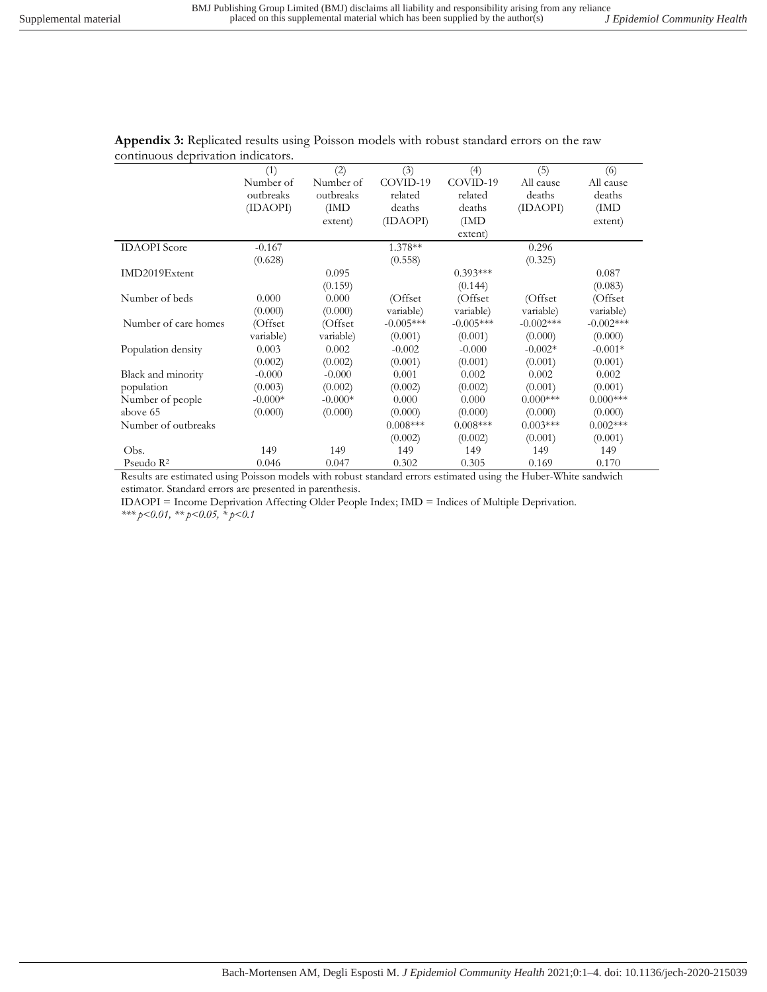|                       | (1)       | (2)       | (3)         | (4)         | (5)         | (6)         |
|-----------------------|-----------|-----------|-------------|-------------|-------------|-------------|
|                       | Number of | Number of | COVID-19    | COVID-19    | All cause   | All cause   |
|                       | outbreaks | outbreaks | related     | related     | deaths      | deaths      |
|                       | (IDAOPI)  | (IMD      | deaths      | deaths      | (IDAOPI)    | (IMD)       |
|                       |           | extent)   | (IDAOPI)    | (IMD)       |             | extent)     |
|                       |           |           |             | extent)     |             |             |
| <b>IDAOPI</b> Score   | $-0.167$  |           | 1.378**     |             | 0.296       |             |
|                       | (0.628)   |           | (0.558)     |             | (0.325)     |             |
| IMD2019Extent         |           | 0.095     |             | $0.393***$  |             | 0.087       |
|                       |           | (0.159)   |             | (0.144)     |             | (0.083)     |
| Number of beds        | 0.000     | 0.000     | (Offset)    | (Offset     | (Offset)    | (Offset)    |
|                       | (0.000)   | (0.000)   | variable)   | variable)   | variable)   | variable)   |
| Number of care homes  | (Offset   | (Offset   | $-0.005***$ | $-0.005***$ | $-0.002***$ | $-0.002***$ |
|                       | variable) | variable) | (0.001)     | (0.001)     | (0.000)     | (0.000)     |
| Population density    | 0.003     | 0.002     | $-0.002$    | $-0.000$    | $-0.002*$   | $-0.001*$   |
|                       | (0.002)   | (0.002)   | (0.001)     | (0.001)     | (0.001)     | (0.001)     |
| Black and minority    | $-0.000$  | $-0.000$  | 0.001       | 0.002       | 0.002       | 0.002       |
| population            | (0.003)   | (0.002)   | (0.002)     | (0.002)     | (0.001)     | (0.001)     |
| Number of people      | $-0.000*$ | $-0.000*$ | 0.000       | 0.000       | $0.000***$  | $0.000***$  |
| above 65              | (0.000)   | (0.000)   | (0.000)     | (0.000)     | (0.000)     | (0.000)     |
| Number of outbreaks   |           |           | $0.008***$  | $0.008***$  | $0.003***$  | $0.002***$  |
|                       |           |           | (0.002)     | (0.002)     | (0.001)     | (0.001)     |
| Obs.                  | 149       | 149       | 149         | 149         | 149         | 149         |
| Pseudo $\mathbb{R}^2$ | 0.046     | 0.047     | 0.302       | 0.305       | 0.169       | 0.170       |

**Appendix 3:** Replicated results using Poisson models with robust standard errors on the raw continuous deprivation indicators.

Results are estimated using Poisson models with robust standard errors estimated using the Huber-White sandwich estimator. Standard errors are presented in parenthesis.

IDAOPI = Income Deprivation Affecting Older People Index; IMD = Indices of Multiple Deprivation. *\*\*\* p<0.01, \*\* p<0.05, \* p<0.1*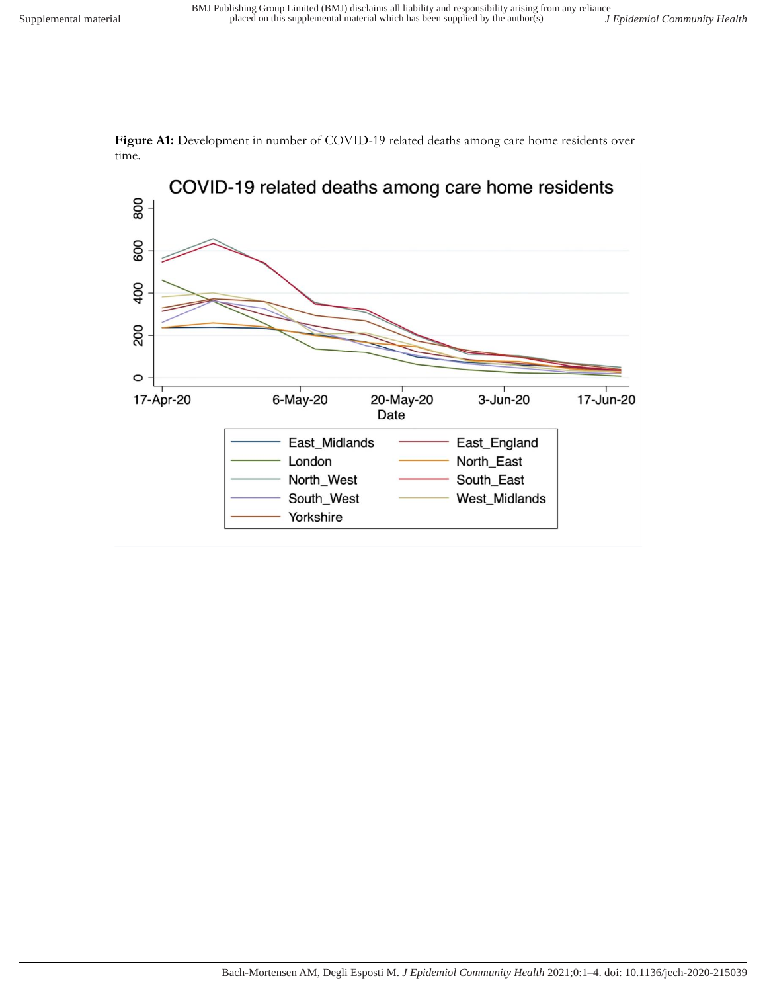

**Figure A1:** Development in number of COVID-19 related deaths among care home residents over time.